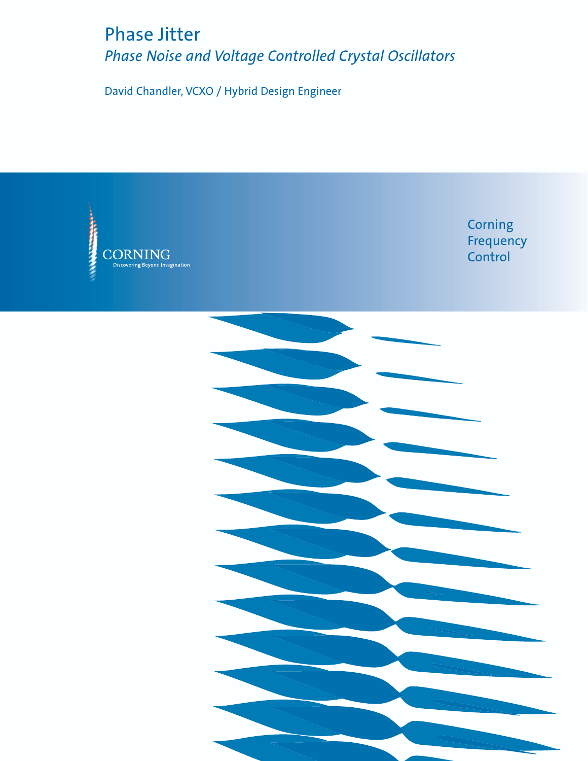# Phase Jitter Phase Noise and Voltage Controlled Crystal Oscillators

David Chandler, VCXO / Hybrid Design Engineer

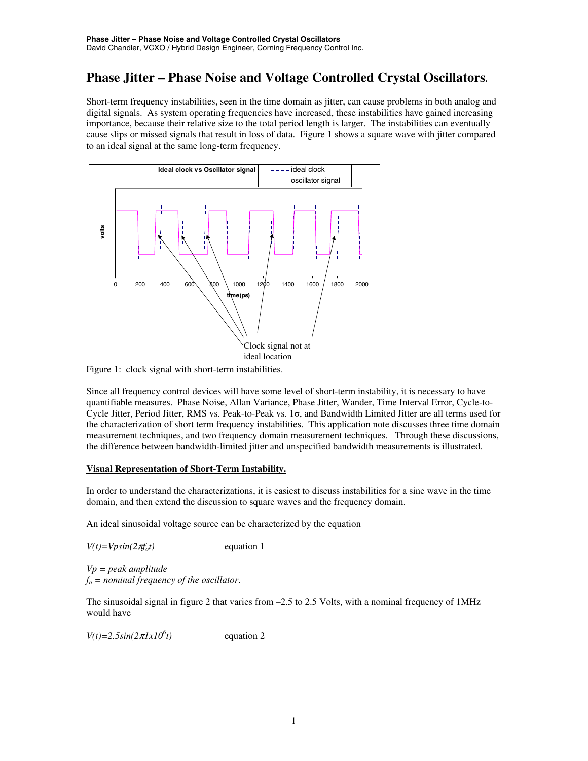# **Phase Jitter – Phase Noise and Voltage Controlled Crystal Oscillators.**

Short-term frequency instabilities, seen in the time domain as jitter, can cause problems in both analog and digital signals. As system operating frequencies have increased, these instabilities have gained increasing importance, because their relative size to the total period length is larger. The instabilities can eventually cause slips or missed signals that result in loss of data. Figure 1 shows a square wave with jitter compared to an ideal signal at the same long-term frequency.



Figure 1: clock signal with short-term instabilities.

Since all frequency control devices will have some level of short-term instability, it is necessary to have quantifiable measures. Phase Noise, Allan Variance, Phase Jitter, Wander, Time Interval Error, Cycle-to-Cycle Jitter, Period Jitter, RMS vs. Peak-to-Peak vs. 1σ, and Bandwidth Limited Jitter are all terms used for the characterization of short term frequency instabilities. This application note discusses three time domain measurement techniques, and two frequency domain measurement techniques. Through these discussions, the difference between bandwidth-limited jitter and unspecified bandwidth measurements is illustrated.

#### **Visual Representation of Short-Term Instability.**

In order to understand the characterizations, it is easiest to discuss instabilities for a sine wave in the time domain, and then extend the discussion to square waves and the frequency domain.

An ideal sinusoidal voltage source can be characterized by the equation

 $V(t) = V \sin(2\pi f_0 t)$  equation 1

*Vp = peak amplitude*  $f<sub>o</sub>$  = nominal frequency of the oscillator.

The sinusoidal signal in figure 2 that varies from –2.5 to 2.5 Volts, with a nominal frequency of 1MHz would have

 $V(t)=2.5\sin(2\pi l x I0^{6}t)$ *t)* equation 2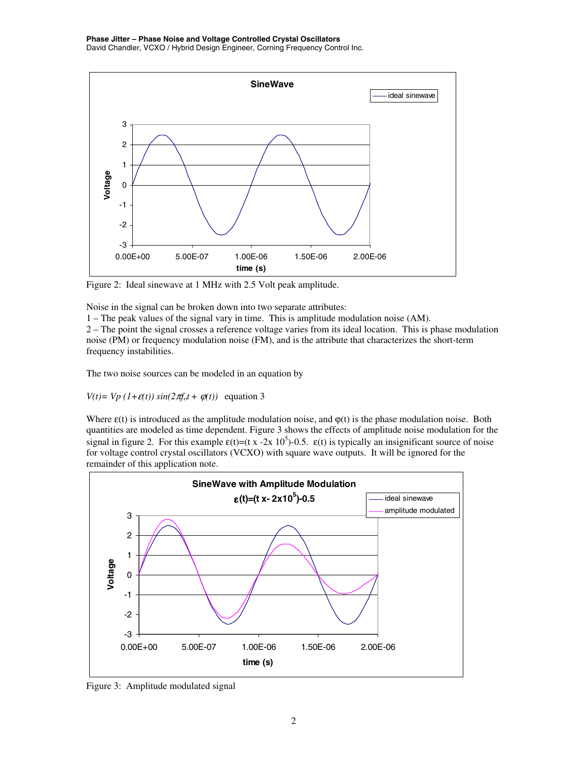

Figure 2: Ideal sinewave at 1 MHz with 2.5 Volt peak amplitude.

Noise in the signal can be broken down into two separate attributes:

1 – The peak values of the signal vary in time. This is amplitude modulation noise (AM).

2 – The point the signal crosses a reference voltage varies from its ideal location. This is phase modulation noise (PM) or frequency modulation noise (FM), and is the attribute that characterizes the short-term frequency instabilities.

The two noise sources can be modeled in an equation by

*V*(*t*)= *Vp* (*1*+ $\varepsilon$ (*t*)) sin(2 $\pi f_o t + \varphi(t)$ ) equation 3

Where  $\varepsilon(t)$  is introduced as the amplitude modulation noise, and  $\varphi(t)$  is the phase modulation noise. Both quantities are modeled as time dependent. Figure 3 shows the effects of amplitude noise modulation for the signal in figure 2. For this example  $\varepsilon(t) = (t x - 2x 10^5) - 0.5$ .  $\varepsilon(t)$  is typically an insignificant source of noise for voltage control crystal oscillators (VCXO) with square wave outputs. It will be ignored for the remainder of this application note.



Figure 3: Amplitude modulated signal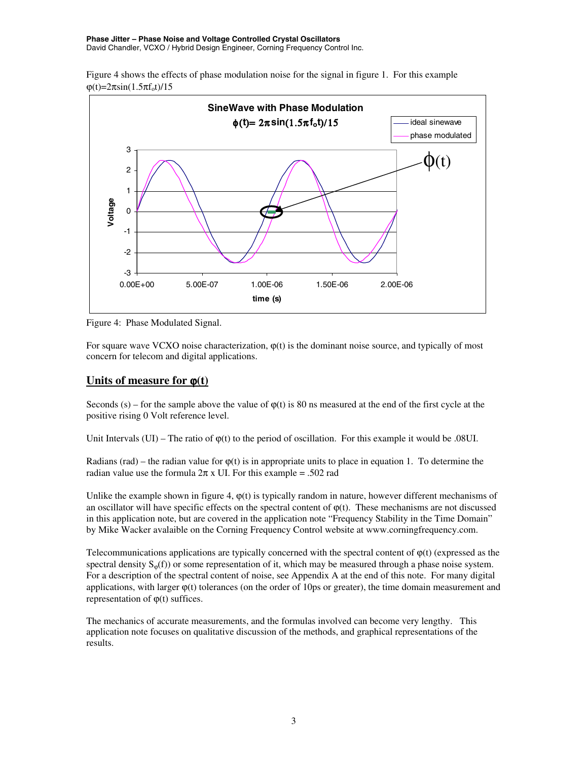Figure 4 shows the effects of phase modulation noise for the signal in figure 1. For this example  $φ(t)=2πsin(1.5πf_0t)/15$ 



Figure 4: Phase Modulated Signal.

For square wave VCXO noise characterization,  $\varphi(t)$  is the dominant noise source, and typically of most concern for telecom and digital applications.

### **Units of measure for** ϕ**(t)**

Seconds (s) – for the sample above the value of  $\varphi(t)$  is 80 ns measured at the end of the first cycle at the positive rising 0 Volt reference level.

Unit Intervals  $(UI)$  – The ratio of  $\varphi(t)$  to the period of oscillation. For this example it would be .08UI.

Radians (rad) – the radian value for  $\varphi(t)$  is in appropriate units to place in equation 1. To determine the radian value use the formula  $2\pi$  x UI. For this example = .502 rad

Unlike the example shown in figure 4,  $\varphi(t)$  is typically random in nature, however different mechanisms of an oscillator will have specific effects on the spectral content of  $\varphi(t)$ . These mechanisms are not discussed in this application note, but are covered in the application note "Frequency Stability in the Time Domain" by Mike Wacker avalaible on the Corning Frequency Control website at www.corningfrequency.com.

Telecommunications applications are typically concerned with the spectral content of  $\varphi(t)$  (expressed as the spectral density  $S_{\omega}(f)$  or some representation of it, which may be measured through a phase noise system. For a description of the spectral content of noise, see Appendix A at the end of this note. For many digital applications, with larger ϕ(t) tolerances (on the order of 10ps or greater), the time domain measurement and representation of  $\varphi(t)$  suffices.

The mechanics of accurate measurements, and the formulas involved can become very lengthy. This application note focuses on qualitative discussion of the methods, and graphical representations of the results.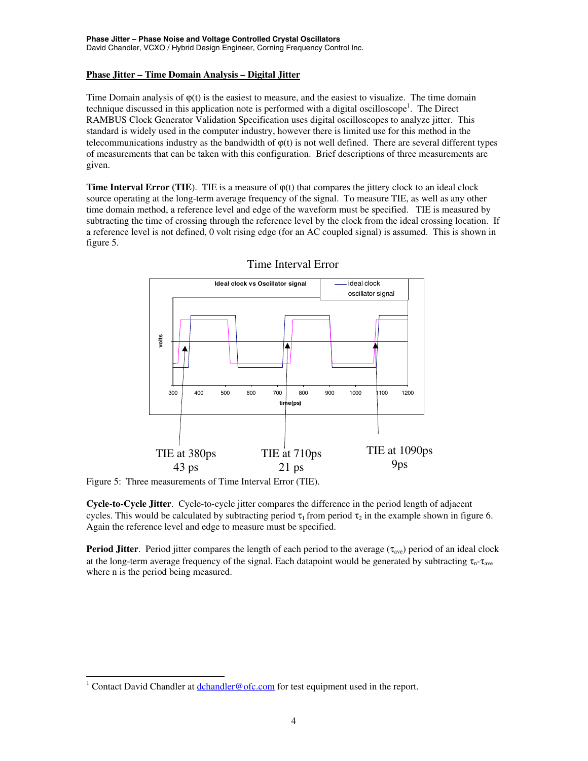#### **Phase Jitter – Time Domain Analysis – Digital Jitter**

Time Domain analysis of  $\varphi(t)$  is the easiest to measure, and the easiest to visualize. The time domain technique discussed in this application note is performed with a digital oscilloscope<sup>1</sup>. The Direct RAMBUS Clock Generator Validation Specification uses digital oscilloscopes to analyze jitter. This standard is widely used in the computer industry, however there is limited use for this method in the telecommunications industry as the bandwidth of  $\varphi(t)$  is not well defined. There are several different types of measurements that can be taken with this configuration. Brief descriptions of three measurements are given.

**Time Interval Error (TIE).** TIE is a measure of  $\varphi(t)$  that compares the jittery clock to an ideal clock source operating at the long-term average frequency of the signal. To measure TIE, as well as any other time domain method, a reference level and edge of the waveform must be specified. TIE is measured by subtracting the time of crossing through the reference level by the clock from the ideal crossing location. If a reference level is not defined, 0 volt rising edge (for an AC coupled signal) is assumed. This is shown in figure 5.



### Time Interval Error

Figure 5: Three measurements of Time Interval Error (TIE).

**Cycle-to-Cycle Jitter**. Cycle-to-cycle jitter compares the difference in the period length of adjacent cycles. This would be calculated by subtracting period  $\tau_1$  from period  $\tau_2$  in the example shown in figure 6. Again the reference level and edge to measure must be specified.

**Period Jitter**. Period jitter compares the length of each period to the average ( $\tau_{\text{ave}}$ ) period of an ideal clock at the long-term average frequency of the signal. Each datapoint would be generated by subtracting  $\tau_{n}$ - $\tau_{ave}$ where n is the period being measured.

<sup>&</sup>lt;sup>1</sup> Contact David Chandler at **dchandler@ofc.com** for test equipment used in the report.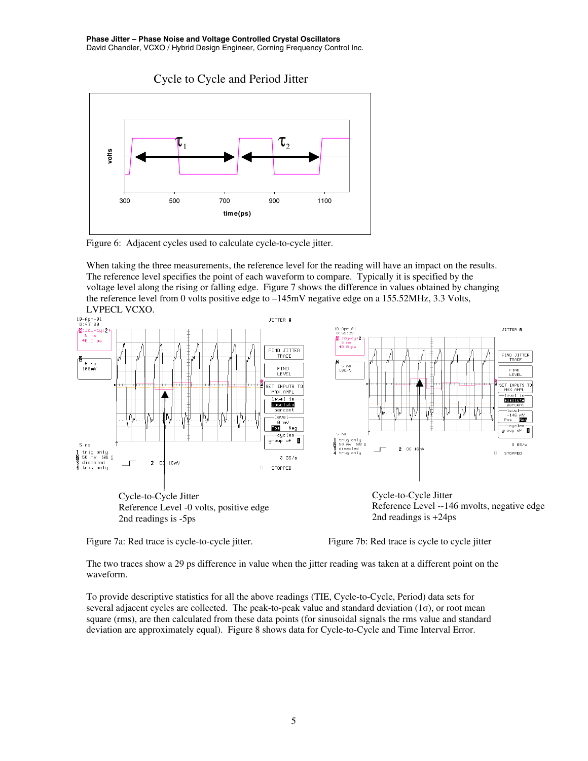

Figure 6: Adjacent cycles used to calculate cycle-to-cycle jitter.

When taking the three measurements, the reference level for the reading will have an impact on the results. The reference level specifies the point of each waveform to compare. Typically it is specified by the voltage level along the rising or falling edge. Figure 7 shows the difference in values obtained by changing the reference level from 0 volts positive edge to –145mV negative edge on a 155.52MHz, 3.3 Volts,



Figure 7a: Red trace is cycle-to-cycle jitter. Figure 7b: Red trace is cycle in the sycle to cycle jitter

The two traces show a 29 ps difference in value when the jitter reading was taken at a different point on the waveform.

To provide descriptive statistics for all the above readings (TIE, Cycle-to-Cycle, Period) data sets for several adjacent cycles are collected. The peak-to-peak value and standard deviation (1σ), or root mean square (rms), are then calculated from these data points (for sinusoidal signals the rms value and standard deviation are approximately equal). Figure 8 shows data for Cycle-to-Cycle and Time Interval Error.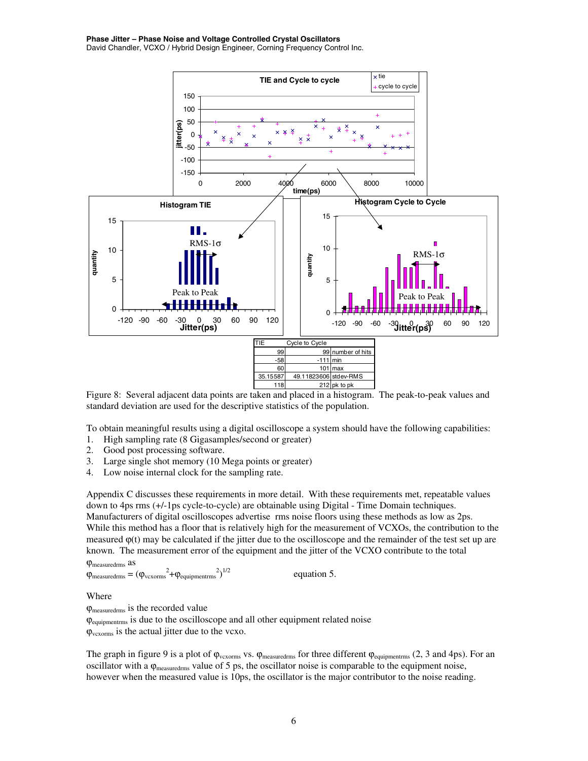

Figure 8: Several adjacent data points are taken and placed in a histogram. The peak-to-peak values and standard deviation are used for the descriptive statistics of the population.

To obtain meaningful results using a digital oscilloscope a system should have the following capabilities:

- 1. High sampling rate (8 Gigasamples/second or greater)
- 2. Good post processing software.
- 3. Large single shot memory (10 Mega points or greater)
- 4. Low noise internal clock for the sampling rate.

Appendix C discusses these requirements in more detail. With these requirements met, repeatable values down to 4ps rms (+/-1ps cycle-to-cycle) are obtainable using Digital - Time Domain techniques. Manufacturers of digital oscilloscopes advertise rms noise floors using these methods as low as 2ps. While this method has a floor that is relatively high for the measurement of VCXOs, the contribution to the measured  $\varphi(t)$  may be calculated if the jitter due to the oscilloscope and the remainder of the test set up are known. The measurement error of the equipment and the jitter of the VCXO contribute to the total

```
ϕmeasuredrms as
\varphi_{\text{measuredrms}} = (\varphi_{\text{vexorms}}^2 + \varphi_{\text{equipmentrms}}^2)equation 5.
```
Where

ϕmeasuredrms is the recorded value ϕequipmentrms is due to the oscilloscope and all other equipment related noise  $\varphi_{\text{vexorms}}$  is the actual jitter due to the vcxo.

The graph in figure 9 is a plot of  $\varphi_{vexorms}$  vs.  $\varphi_{measuredms}$  for three different  $\varphi_{equipmentrms}$  (2, 3 and 4ps). For an oscillator with a  $\varphi_{\text{measuredms}}$  value of 5 ps, the oscillator noise is comparable to the equipment noise, however when the measured value is 10ps, the oscillator is the major contributor to the noise reading.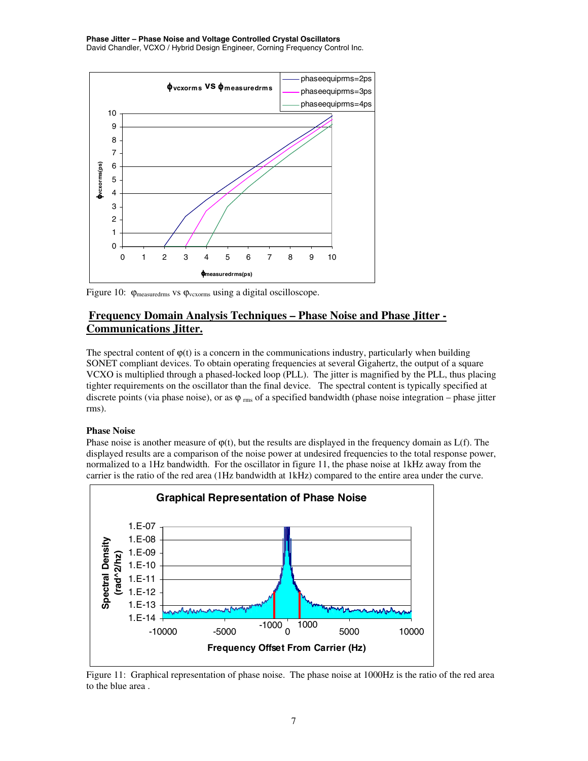#### **Phase Jitter – Phase Noise and Voltage Controlled Crystal Oscillators**

David Chandler, VCXO / Hybrid Design Engineer, Corning Frequency Control Inc.



Figure 10: ϕmeasuredrms vs ϕvcxorms using a digital oscilloscope.

### **Frequency Domain Analysis Techniques – Phase Noise and Phase Jitter - Communications Jitter.**

The spectral content of  $\varphi(t)$  is a concern in the communications industry, particularly when building SONET compliant devices. To obtain operating frequencies at several Gigahertz, the output of a square VCXO is multiplied through a phased-locked loop (PLL). The jitter is magnified by the PLL, thus placing tighter requirements on the oscillator than the final device. The spectral content is typically specified at discrete points (via phase noise), or as  $\varphi_{\rm rms}$  of a specified bandwidth (phase noise integration – phase jitter rms).

#### **Phase Noise**

Phase noise is another measure of  $\varphi(t)$ , but the results are displayed in the frequency domain as  $L(f)$ . The displayed results are a comparison of the noise power at undesired frequencies to the total response power, normalized to a 1Hz bandwidth. For the oscillator in figure 11, the phase noise at 1kHz away from the carrier is the ratio of the red area (1Hz bandwidth at 1kHz) compared to the entire area under the curve.



Figure 11: Graphical representation of phase noise. The phase noise at 1000Hz is the ratio of the red area to the blue area .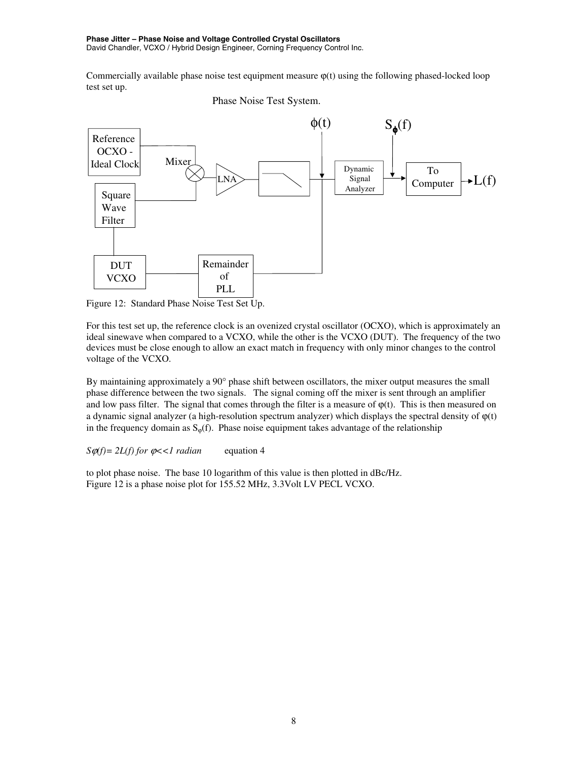Commercially available phase noise test equipment measure  $\varphi(t)$  using the following phased-locked loop test set up.





Figure 12: Standard Phase Noise Test Set Up.

For this test set up, the reference clock is an ovenized crystal oscillator (OCXO), which is approximately an ideal sinewave when compared to a VCXO, while the other is the VCXO (DUT). The frequency of the two devices must be close enough to allow an exact match in frequency with only minor changes to the control voltage of the VCXO.

By maintaining approximately a 90° phase shift between oscillators, the mixer output measures the small phase difference between the two signals. The signal coming off the mixer is sent through an amplifier and low pass filter. The signal that comes through the filter is a measure of  $\varphi(t)$ . This is then measured on a dynamic signal analyzer (a high-resolution spectrum analyzer) which displays the spectral density of  $\varphi(t)$ in the frequency domain as  $S_{\omega}(f)$ . Phase noise equipment takes advantage of the relationship

 $S\varphi(f) = 2L(f)$  for  $\varphi \ll 1$  radian equation 4

to plot phase noise. The base 10 logarithm of this value is then plotted in dBc/Hz. Figure 12 is a phase noise plot for 155.52 MHz, 3.3Volt LV PECL VCXO.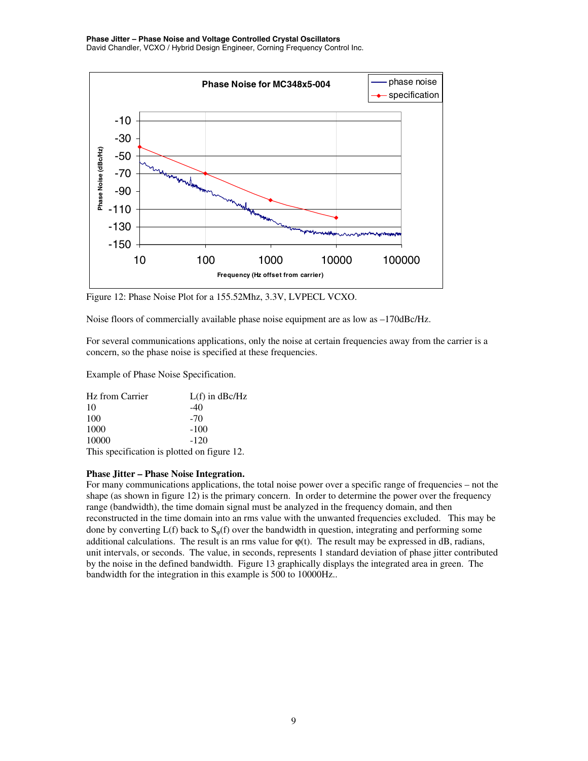

Figure 12: Phase Noise Plot for a 155.52Mhz, 3.3V, LVPECL VCXO.

Noise floors of commercially available phase noise equipment are as low as  $-170$ dBc/Hz.

For several communications applications, only the noise at certain frequencies away from the carrier is a concern, so the phase noise is specified at these frequencies.

Example of Phase Noise Specification.

| Hz from Carrier | $L(f)$ in $dBc/Hz$                          |
|-----------------|---------------------------------------------|
| 10              | $-40$                                       |
| 100             | $-70$                                       |
| 1000            | $-100$                                      |
| 10000           | $-120$                                      |
|                 | This specification is plotted on figure 12. |

#### **Phase Jitter – Phase Noise Integration.**

For many communications applications, the total noise power over a specific range of frequencies – not the shape (as shown in figure 12) is the primary concern. In order to determine the power over the frequency range (bandwidth), the time domain signal must be analyzed in the frequency domain, and then reconstructed in the time domain into an rms value with the unwanted frequencies excluded. This may be done by converting  $L(f)$  back to  $S_{\omega}(f)$  over the bandwidth in question, integrating and performing some additional calculations. The result is an rms value for  $\varphi(t)$ . The result may be expressed in dB, radians, unit intervals, or seconds. The value, in seconds, represents 1 standard deviation of phase jitter contributed by the noise in the defined bandwidth. Figure 13 graphically displays the integrated area in green. The bandwidth for the integration in this example is 500 to 10000Hz..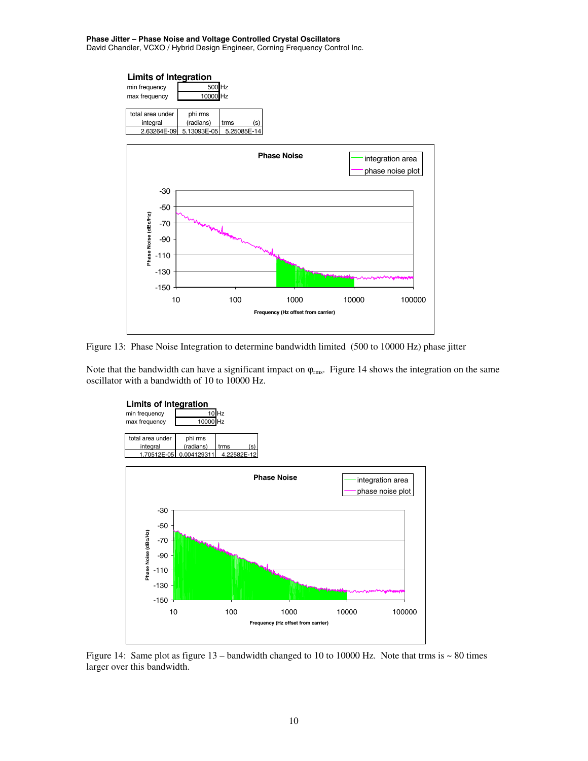



Note that the bandwidth can have a significant impact on  $\varphi_{\rm rms}$ . Figure 14 shows the integration on the same oscillator with a bandwidth of 10 to 10000 Hz.



Figure 14: Same plot as figure  $13$  – bandwidth changed to 10 to 10000 Hz. Note that trms is  $\sim 80$  times larger over this bandwidth.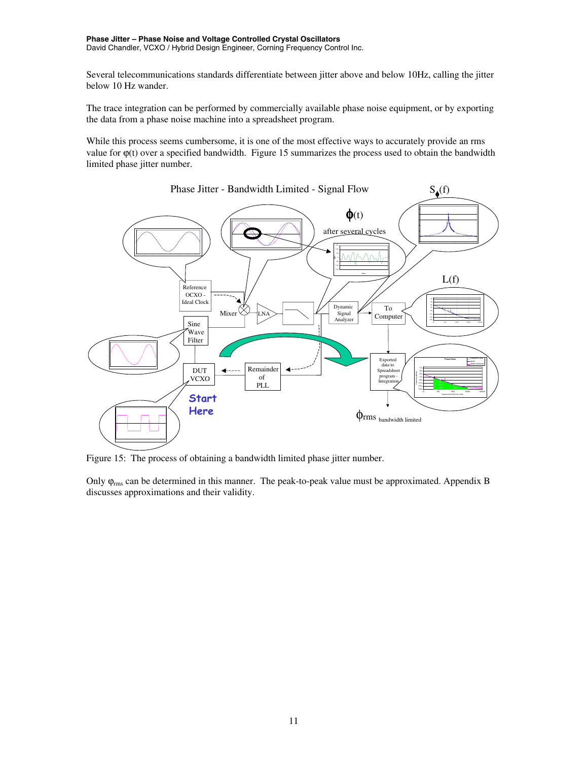Several telecommunications standards differentiate between jitter above and below 10Hz, calling the jitter below 10 Hz wander.

The trace integration can be performed by commercially available phase noise equipment, or by exporting the data from a phase noise machine into a spreadsheet program.

While this process seems cumbersome, it is one of the most effective ways to accurately provide an rms value for  $\varphi(t)$  over a specified bandwidth. Figure 15 summarizes the process used to obtain the bandwidth limited phase jitter number.



Figure 15: The process of obtaining a bandwidth limited phase jitter number.

Only  $\varphi_{\rm rms}$  can be determined in this manner. The peak-to-peak value must be approximated. Appendix B discusses approximations and their validity.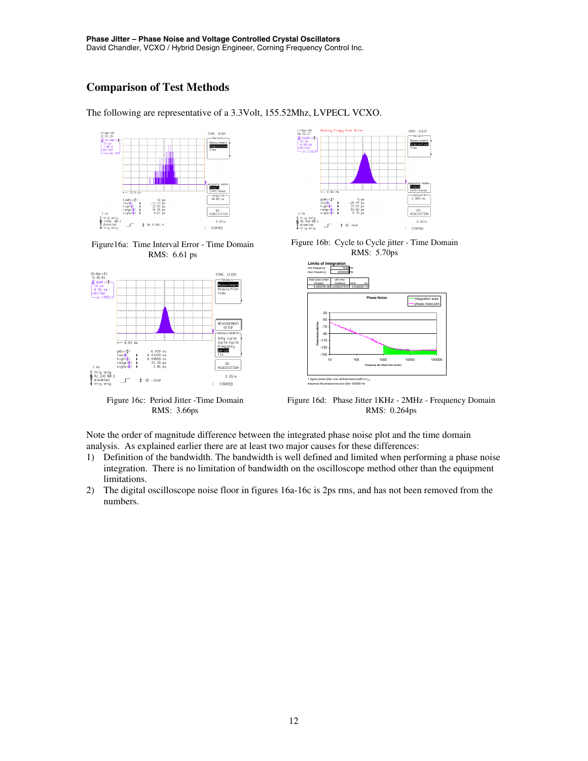# **Comparison of Test Methods**

The following are representative of a 3.3Volt, 155.52Mhz, LVPECL VCXO.



Figure16a: Time Interval Error - Time Domain RMS: 6.61 ps



Figure 16c: Period Jitter -Time Domain RMS: 3.66ps



Figure 16b: Cycle to Cycle jitter - Time Domain RMS: 5.70ps



Figure 16d: Phase Jitter 1KHz - 2MHz - Frequency Domain RMS: 0.264ps

Note the order of magnitude difference between the integrated phase noise plot and the time domain analysis. As explained earlier there are at least two major causes for these differences:

- 1) Definition of the bandwidth. The bandwidth is well defined and limited when performing a phase noise integration. There is no limitation of bandwidth on the oscilloscope method other than the equipment limitations.
- 2) The digital oscilloscope noise floor in figures 16a-16c is 2ps rms, and has not been removed from the numbers.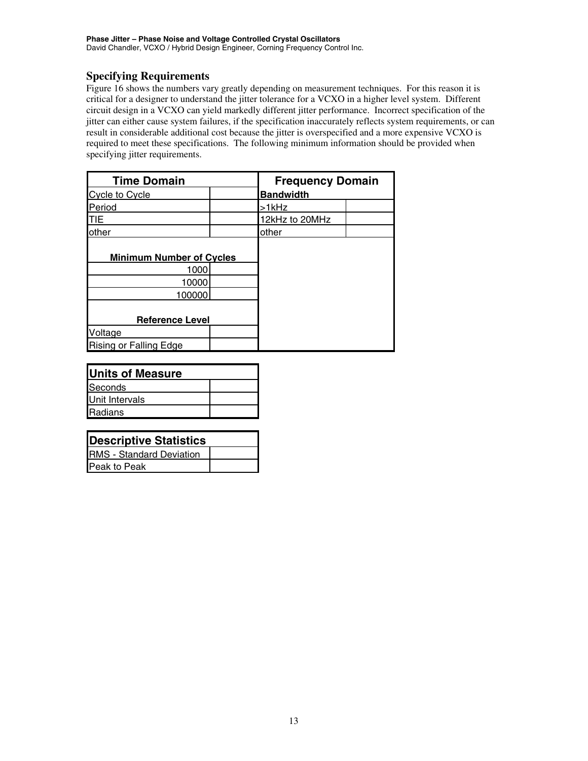## **Specifying Requirements**

Figure 16 shows the numbers vary greatly depending on measurement techniques. For this reason it is critical for a designer to understand the jitter tolerance for a VCXO in a higher level system. Different circuit design in a VCXO can yield markedly different jitter performance. Incorrect specification of the jitter can either cause system failures, if the specification inaccurately reflects system requirements, or can result in considerable additional cost because the jitter is overspecified and a more expensive VCXO is required to meet these specifications. The following minimum information should be provided when specifying jitter requirements.

| <b>Time Domain</b>              |  | <b>Frequency Domain</b> |  |
|---------------------------------|--|-------------------------|--|
| Cycle to Cycle                  |  | <b>Bandwidth</b>        |  |
| Period                          |  | >1kHz                   |  |
| <b>TIE</b>                      |  | 12kHz to 20MHz          |  |
| other                           |  | other                   |  |
| <b>Minimum Number of Cycles</b> |  |                         |  |
| 1000                            |  |                         |  |
| 10000                           |  |                         |  |
| 100000                          |  |                         |  |
|                                 |  |                         |  |
| <b>Reference Level</b>          |  |                         |  |
| Voltage                         |  |                         |  |
| <b>Rising or Falling Edge</b>   |  |                         |  |

| Units of Measure |  |  |
|------------------|--|--|
| <b>Seconds</b>   |  |  |
| Unit Intervals   |  |  |
| <b>Radians</b>   |  |  |
|                  |  |  |

| <b>Descriptive Statistics</b>   |  |  |
|---------------------------------|--|--|
| <b>RMS</b> - Standard Deviation |  |  |
| Peak to Peak                    |  |  |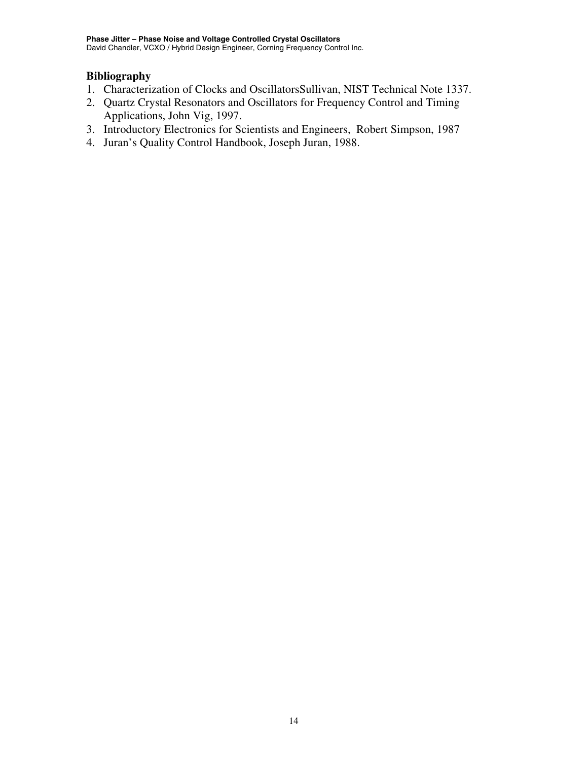# **Bibliography**

- 1. Characterization of Clocks and OscillatorsSullivan, NIST Technical Note 1337.
- 2. Quartz Crystal Resonators and Oscillators for Frequency Control and Timing Applications, John Vig, 1997.
- 3. Introductory Electronics for Scientists and Engineers, Robert Simpson, 1987
- 4. Juran's Quality Control Handbook, Joseph Juran, 1988.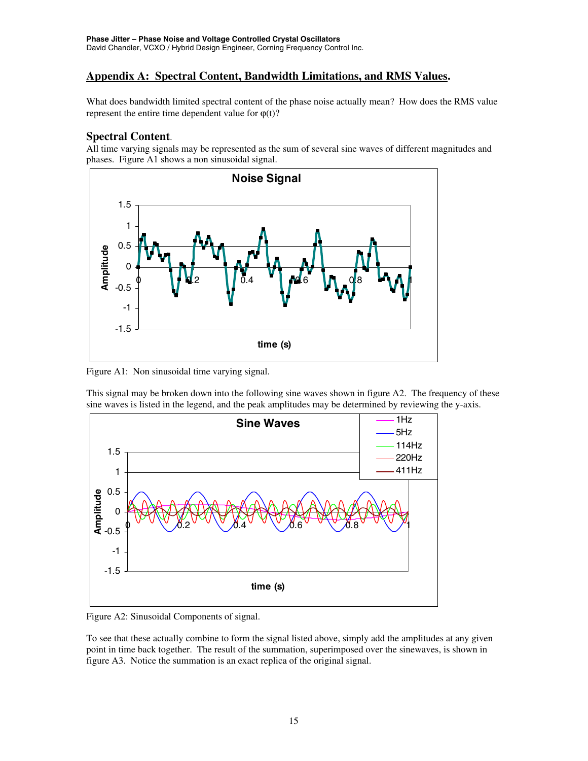# **Appendix A: Spectral Content, Bandwidth Limitations, and RMS Values.**

What does bandwidth limited spectral content of the phase noise actually mean? How does the RMS value represent the entire time dependent value for  $\varphi(t)$ ?

# **Spectral Content**.

All time varying signals may be represented as the sum of several sine waves of different magnitudes and phases. Figure A1 shows a non sinusoidal signal.



Figure A1: Non sinusoidal time varying signal.

This signal may be broken down into the following sine waves shown in figure A2. The frequency of these sine waves is listed in the legend, and the peak amplitudes may be determined by reviewing the y-axis.



Figure A2: Sinusoidal Components of signal.

To see that these actually combine to form the signal listed above, simply add the amplitudes at any given point in time back together. The result of the summation, superimposed over the sinewaves, is shown in figure A3. Notice the summation is an exact replica of the original signal.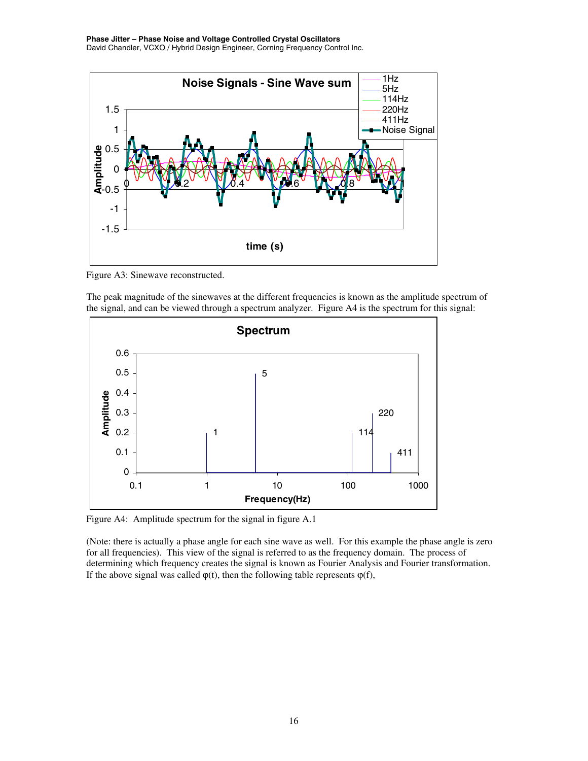

Figure A3: Sinewave reconstructed.

The peak magnitude of the sinewaves at the different frequencies is known as the amplitude spectrum of the signal, and can be viewed through a spectrum analyzer. Figure A4 is the spectrum for this signal:



Figure A4: Amplitude spectrum for the signal in figure A.1

(Note: there is actually a phase angle for each sine wave as well. For this example the phase angle is zero for all frequencies). This view of the signal is referred to as the frequency domain. The process of determining which frequency creates the signal is known as Fourier Analysis and Fourier transformation. If the above signal was called  $\varphi(t)$ , then the following table represents  $\varphi(f)$ ,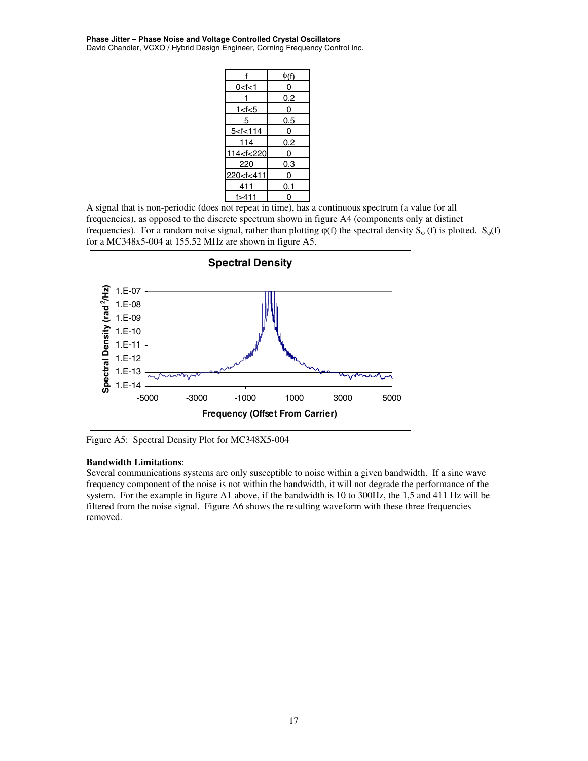#### **Phase Jitter – Phase Noise and Voltage Controlled Crystal Oscillators**

David Chandler, VCXO / Hybrid Design Engineer, Corning Frequency Control Inc.

|                                       | $\phi(f)$  |
|---------------------------------------|------------|
| 0 <f<1< td=""><td>0</td></f<1<>       | 0          |
|                                       | <u>0.2</u> |
| 1 < t < 5                             | 0          |
| 5                                     | 0.5        |
| 5 < t < 114                           | 0          |
| 114                                   | 0.2        |
| 114 <f<220< td=""><td>0</td></f<220<> | 0          |
| 220                                   | 0.3        |
| 220 <f<411< td=""><td>0</td></f<411<> | 0          |
| 411                                   | 0.1        |
| f>411                                 |            |

A signal that is non-periodic (does not repeat in time), has a continuous spectrum (a value for all frequencies), as opposed to the discrete spectrum shown in figure A4 (components only at distinct frequencies). For a random noise signal, rather than plotting  $\varphi(f)$  the spectral density S<sub> $\varphi$ </sub> (f) is plotted. S<sub> $\varphi$ </sub>(f) for a MC348x5-004 at 155.52 MHz are shown in figure A5.



Figure A5: Spectral Density Plot for MC348X5-004

#### **Bandwidth Limitations**:

Several communications systems are only susceptible to noise within a given bandwidth. If a sine wave frequency component of the noise is not within the bandwidth, it will not degrade the performance of the system. For the example in figure A1 above, if the bandwidth is 10 to 300Hz, the 1,5 and 411 Hz will be filtered from the noise signal. Figure A6 shows the resulting waveform with these three frequencies removed.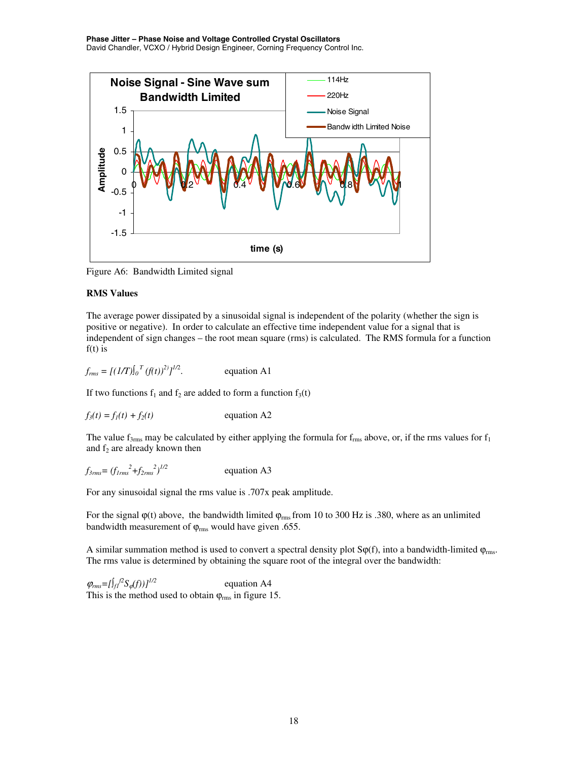

Figure A6: Bandwidth Limited signal

### **RMS Values**

The average power dissipated by a sinusoidal signal is independent of the polarity (whether the sign is positive or negative). In order to calculate an effective time independent value for a signal that is independent of sign changes – the root mean square (rms) is calculated. The RMS formula for a function  $f(t)$  is

 $f_{rms} = [(1/T)]_0^T (f(t))^{2}$ <sup>[/2</sup> equation A1

If two functions  $f_1$  and  $f_2$  are added to form a function  $f_3(t)$ 

$$
f_3(t) = f_1(t) + f_2(t)
$$
 equation A2

The value  $f_{3rms}$  may be calculated by either applying the formula for  $f_{rms}$  above, or, if the rms values for  $f_1$ and  $f_2$  are already known then

$$
f_{3\text{rms}} = (f_{1\text{rms}}^2 + f_{2\text{rms}}^2)^{1/2}
$$
 equation A3

For any sinusoidal signal the rms value is .707x peak amplitude.

For the signal  $\varphi(t)$  above, the bandwidth limited  $\varphi_{\rm rms}$  from 10 to 300 Hz is .380, where as an unlimited bandwidth measurement of  $\varphi_{\rm rms}$  would have given .655.

A similar summation method is used to convert a spectral density plot  $S\varphi(f)$ , into a bandwidth-limited  $\varphi_{rms}$ . The rms value is determined by obtaining the square root of the integral over the bandwidth:

 $\varphi_{rms} = [\int_{f} f^{2} S_{\varphi}(f))$ <sup>1/2</sup> *f2S*ϕ*(f))]1/2* equation A4 This is the method used to obtain  $\varphi_{\rm rms}$  in figure 15.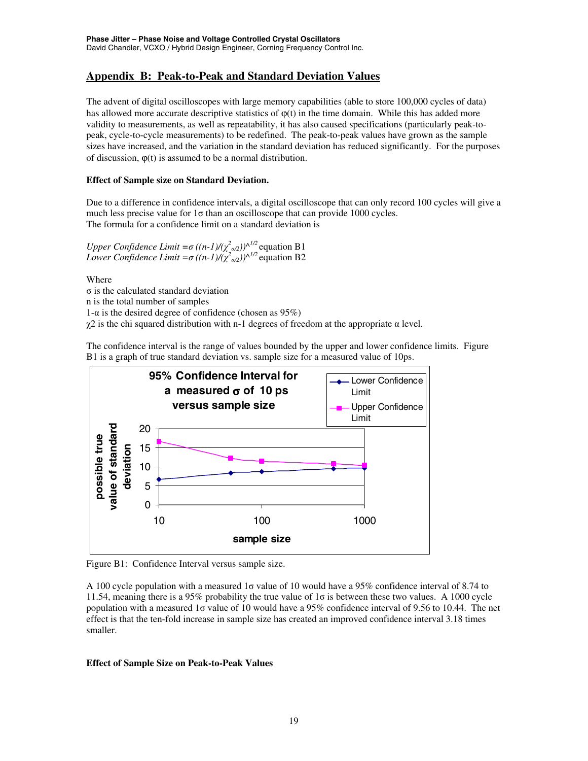# **Appendix B: Peak-to-Peak and Standard Deviation Values**

The advent of digital oscilloscopes with large memory capabilities (able to store 100,000 cycles of data) has allowed more accurate descriptive statistics of  $\varphi(t)$  in the time domain. While this has added more validity to measurements, as well as repeatability, it has also caused specifications (particularly peak-topeak, cycle-to-cycle measurements) to be redefined. The peak-to-peak values have grown as the sample sizes have increased, and the variation in the standard deviation has reduced significantly. For the purposes of discussion,  $\varphi(t)$  is assumed to be a normal distribution.

### **Effect of Sample size on Standard Deviation.**

Due to a difference in confidence intervals, a digital oscilloscope that can only record 100 cycles will give a much less precise value for  $1\sigma$  than an oscilloscope that can provide 1000 cycles. The formula for a confidence limit on a standard deviation is

*Upper Confidence Limit* =  $\sigma$   $((n-1) / (\chi^2_{\alpha/2}))^{\wedge^{1/2}}$  equation B1 *Lower Confidence Limit* =  $\sigma$   $((n-1)/(χ^2/202))^{\Lambda^{1/2}}$  equation B2

Where

σ is the calculated standard deviation n is the total number of samples 1-α is the desired degree of confidence (chosen as  $95\%$ ) χ2 is the chi squared distribution with n-1 degrees of freedom at the appropriate α level.

The confidence interval is the range of values bounded by the upper and lower confidence limits. Figure B1 is a graph of true standard deviation vs. sample size for a measured value of 10ps.



Figure B1: Confidence Interval versus sample size.

A 100 cycle population with a measured 1σ value of 10 would have a 95% confidence interval of 8.74 to 11.54, meaning there is a 95% probability the true value of 1σ is between these two values. A 1000 cycle population with a measured 1σ value of 10 would have a 95% confidence interval of 9.56 to 10.44. The net effect is that the ten-fold increase in sample size has created an improved confidence interval 3.18 times smaller.

### **Effect of Sample Size on Peak-to-Peak Values**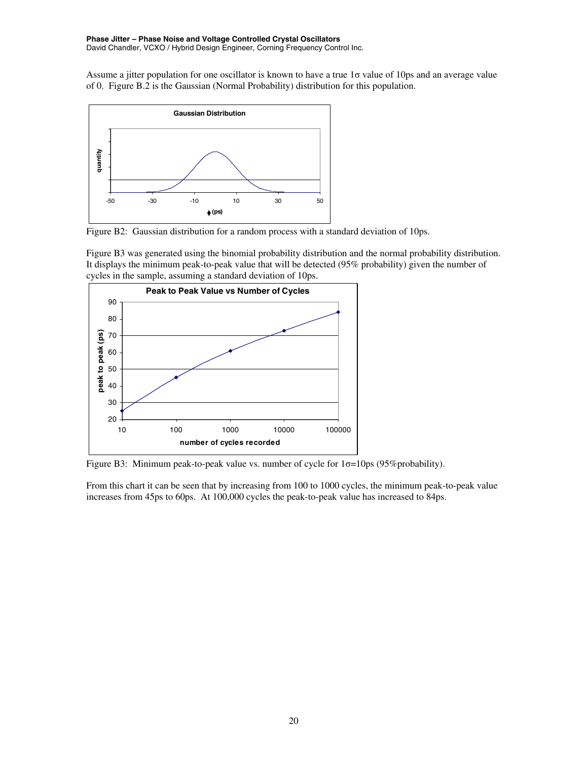Assume a jitter population for one oscillator is known to have a true 1σ value of 10ps and an average value of 0. Figure B.2 is the Gaussian (Normal Probability) distribution for this population.



Figure B2: Gaussian distribution for a random process with a standard deviation of 10ps.

Figure B3 was generated using the binomial probability distribution and the normal probability distribution. It displays the minimum peak-to-peak value that will be detected (95% probability) given the number of cycles in the sample, assuming a standard deviation of 10ps.



Figure B3: Minimum peak-to-peak value vs. number of cycle for  $1\sigma = 10 \text{ps}$  (95% probability).

From this chart it can be seen that by increasing from 100 to 1000 cycles, the minimum peak-to-peak value increases from 45ps to 60ps. At 100,000 cycles the peak-to-peak value has increased to 84ps.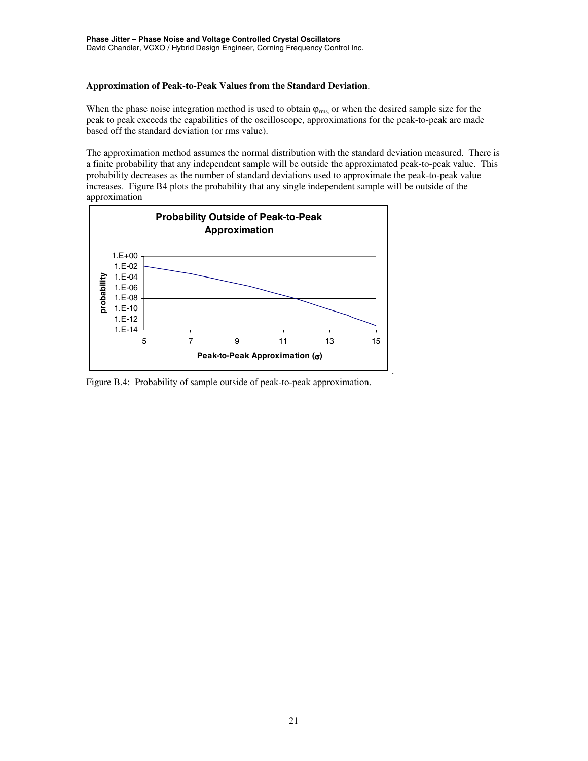#### **Approximation of Peak-to-Peak Values from the Standard Deviation**.

When the phase noise integration method is used to obtain  $\varphi_{\rm rms}$ , or when the desired sample size for the peak to peak exceeds the capabilities of the oscilloscope, approximations for the peak-to-peak are made based off the standard deviation (or rms value).

The approximation method assumes the normal distribution with the standard deviation measured. There is a finite probability that any independent sample will be outside the approximated peak-to-peak value. This probability decreases as the number of standard deviations used to approximate the peak-to-peak value increases. Figure B4 plots the probability that any single independent sample will be outside of the approximation



Figure B.4: Probability of sample outside of peak-to-peak approximation.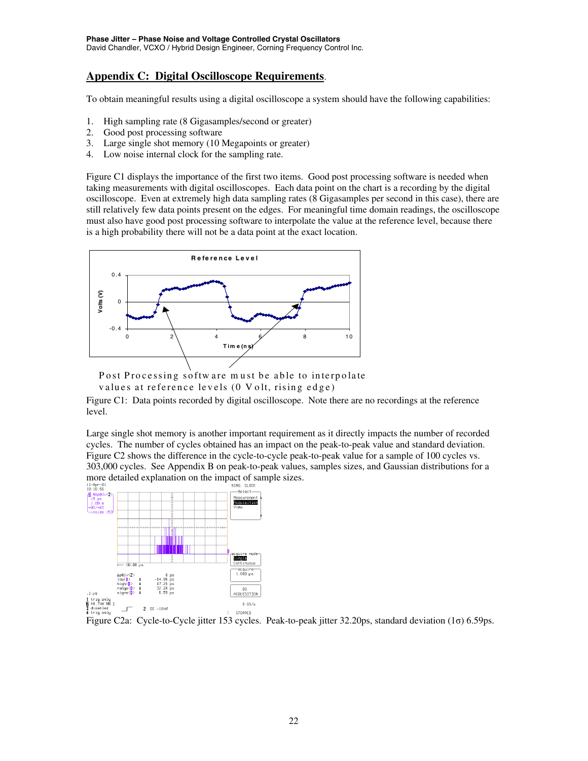# **Appendix C: Digital Oscilloscope Requirements**.

To obtain meaningful results using a digital oscilloscope a system should have the following capabilities:

- 1. High sampling rate (8 Gigasamples/second or greater)
- 2. Good post processing software
- 3. Large single shot memory (10 Megapoints or greater)
- 4. Low noise internal clock for the sampling rate.

Figure C1 displays the importance of the first two items. Good post processing software is needed when taking measurements with digital oscilloscopes. Each data point on the chart is a recording by the digital oscilloscope. Even at extremely high data sampling rates (8 Gigasamples per second in this case), there are still relatively few data points present on the edges. For meaningful time domain readings, the oscilloscope must also have good post processing software to interpolate the value at the reference level, because there is a high probability there will not be a data point at the exact location.



Post Processing softw are m ust be able to interpolate values at reference levels (0 V olt, rising edge)

Figure C1: Data points recorded by digital oscilloscope. Note there are no recordings at the reference level.

Large single shot memory is another important requirement as it directly impacts the number of recorded cycles. The number of cycles obtained has an impact on the peak-to-peak value and standard deviation. Figure C2 shows the difference in the cycle-to-cycle peak-to-peak value for a sample of 100 cycles vs. 303,000 cycles. See Appendix B on peak-to-peak values, samples sizes, and Gaussian distributions for a more detailed explanation on the impact of sample sizes.<br> $\frac{11.6P_{\text{F}}-0.1}{10.16.56}$ 



Figure C2a: Cycle-to-Cycle jitter 153 cycles. Peak-to-peak jitter 32.20ps, standard deviation (1σ) 6.59ps.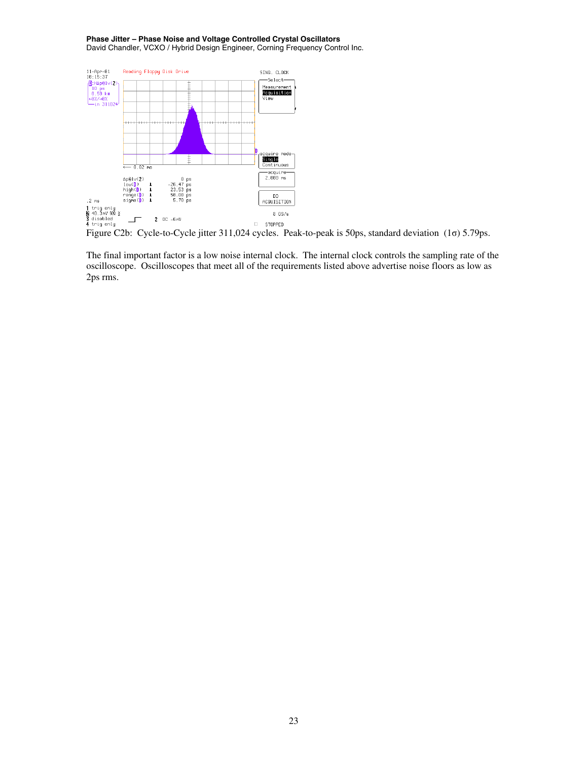

The final important factor is a low noise internal clock. The internal clock controls the sampling rate of the oscilloscope. Oscilloscopes that meet all of the requirements listed above advertise noise floors as low as 2ps rms.